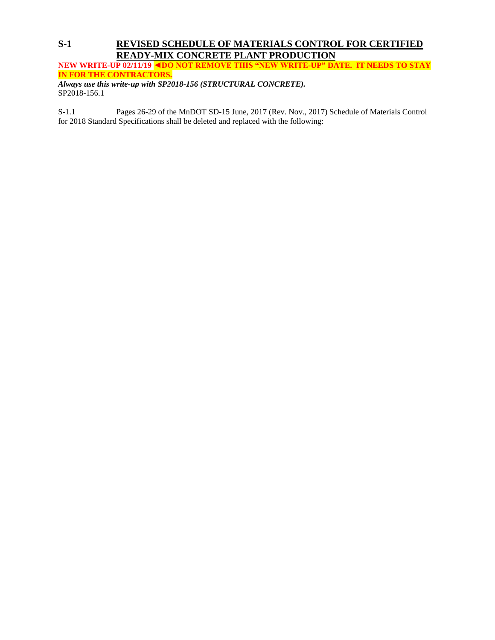# **S-1 REVISED SCHEDULE OF MATERIALS CONTROL FOR CERTIFIED READY-MIX CONCRETE PLANT PRODUCTION**

**NEW WRITE-UP 02/11/19 ◄DO NOT REMOVE THIS "NEW WRITE-UP" DATE. IT NEEDS TO STAY IN FOR THE CONTRACTORS.** *Always use this write-up with SP2018-156 (STRUCTURAL CONCRETE).* 

SP2018-156.1

S-1.1 Pages 26-29 of the MnDOT SD-15 June, 2017 (Rev. Nov., 2017) Schedule of Materials Control for 2018 Standard Specifications shall be deleted and replaced with the following: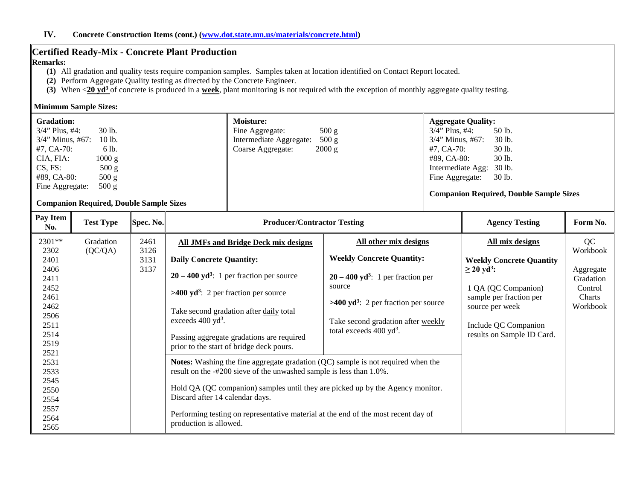## **Certified Ready-Mix - Concrete Plant Production**

#### **Remarks:**

- **(1)** All gradation and quality tests require companion samples. Samples taken at location identified on Contact Report located.
- **(2)** Perform Aggregate Quality testing as directed by the Concrete Engineer.
- **(3)** When <**20 yd3** of concrete is produced in a **week**, plant monitoring is not required with the exception of monthly aggregate quality testing.

#### **Minimum Sample Sizes:**

| <b>Gradation:</b>             | <b>Moisture:</b>                      | <b>Aggregate Quality:</b>                      |
|-------------------------------|---------------------------------------|------------------------------------------------|
| $30$ lb.<br>$3/4$ " Plus, #4: | 500 g<br>Fine Aggregate:              | 50 lb.<br>$3/4$ " Plus, #4:                    |
| $3/4$ " Minus, #67:<br>10 lb. | 500 g<br>Intermediate Aggregate:      | $3/4$ " Minus, #67:<br>30 lb.                  |
| #7, CA-70:<br>6 lb.           | $2000 \text{ g}$<br>Coarse Aggregate: | 30 lb.<br>$#7. CA-70:$                         |
| 1000 g<br>CIA, FIA:           |                                       | 30 lb.<br>#89. CA-80:                          |
| $CS$ , $FS$ :<br>500 g        |                                       | Intermediate Agg: 30 lb.                       |
| 500 g<br>#89, CA-80:          |                                       | 30 lb.<br>Fine Aggregate:                      |
| 500 g<br>Fine Aggregate:      |                                       |                                                |
|                               |                                       | <b>Companion Required, Double Sample Sizes</b> |

## **Companion Required, Double Sample Sizes**

| Pay Item<br>No.                                                                                                                                                        | <b>Test Type</b>     | Spec. No.                    | <b>Producer/Contractor Testing</b>                                                                                                                                                                                                                                                                                                                                                                                                                                                                                                                                                                                                                                                                                                                                     |                                                                                                                                                                                                                                                       | <b>Agency Testing</b>                                                                                                                                                                                        | Form No.                                                                  |
|------------------------------------------------------------------------------------------------------------------------------------------------------------------------|----------------------|------------------------------|------------------------------------------------------------------------------------------------------------------------------------------------------------------------------------------------------------------------------------------------------------------------------------------------------------------------------------------------------------------------------------------------------------------------------------------------------------------------------------------------------------------------------------------------------------------------------------------------------------------------------------------------------------------------------------------------------------------------------------------------------------------------|-------------------------------------------------------------------------------------------------------------------------------------------------------------------------------------------------------------------------------------------------------|--------------------------------------------------------------------------------------------------------------------------------------------------------------------------------------------------------------|---------------------------------------------------------------------------|
| 2301**<br>2302<br>2401<br>2406<br>2411<br>2452<br>2461<br>2462<br>2506<br>2511<br>2514<br>2519<br>2521<br>2531<br>2533<br>2545<br>2550<br>2554<br>2557<br>2564<br>2565 | Gradation<br>(QC/QA) | 2461<br>3126<br>3131<br>3137 | <b>All JMFs and Bridge Deck mix designs</b><br><b>Daily Concrete Quantity:</b><br>$20 - 400$ yd <sup>3</sup> : 1 per fraction per source<br>$>400 \text{ yd}^3$ : 2 per fraction per source<br>Take second gradation after daily total<br>exceeds $400 \text{ yd}^3$ .<br>Passing aggregate gradations are required<br>prior to the start of bridge deck pours.<br><b>Notes:</b> Washing the fine aggregate gradation (QC) sample is not required when the<br>result on the -#200 sieve of the unwashed sample is less than 1.0%.<br>Hold QA (QC companion) samples until they are picked up by the Agency monitor.<br>Discard after 14 calendar days.<br>Performing testing on representative material at the end of the most recent day of<br>production is allowed. | All other mix designs<br><b>Weekly Concrete Quantity:</b><br>$20 - 400$ yd <sup>3</sup> : 1 per fraction per<br>source<br>$>400 \text{ yd}^3$ : 2 per fraction per source<br>Take second gradation after weekly<br>total exceeds $400 \text{ yd}^3$ . | All mix designs<br><b>Weekly Concrete Quantity</b><br>$\geq$ 20 yd <sup>3</sup> :<br>1 QA (QC Companion)<br>sample per fraction per<br>source per week<br>Include QC Companion<br>results on Sample ID Card. | QC<br>Workbook<br>Aggregate<br>Gradation<br>Control<br>Charts<br>Workbook |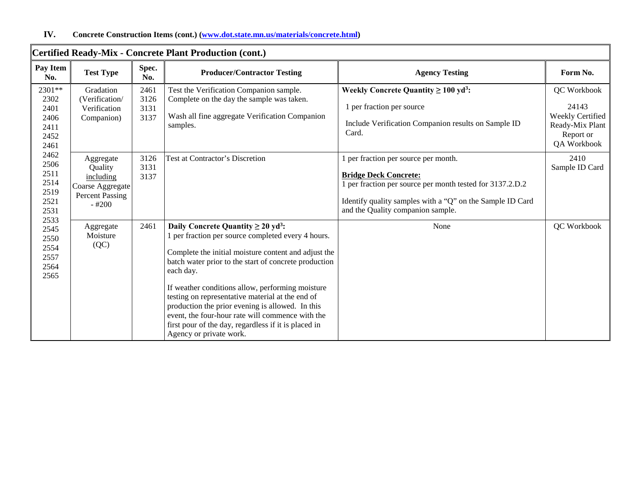|                                                              | Certified Ready-Mix - Concrete Plant Production (cont.)                                    |                              |                                                                                                                                                                                                                                                                                                                                                                                                                                                                                                                                            |                                                                                                                                                                                                                                     |                                                                                         |  |  |  |
|--------------------------------------------------------------|--------------------------------------------------------------------------------------------|------------------------------|--------------------------------------------------------------------------------------------------------------------------------------------------------------------------------------------------------------------------------------------------------------------------------------------------------------------------------------------------------------------------------------------------------------------------------------------------------------------------------------------------------------------------------------------|-------------------------------------------------------------------------------------------------------------------------------------------------------------------------------------------------------------------------------------|-----------------------------------------------------------------------------------------|--|--|--|
| Pay Item<br>No.                                              | <b>Test Type</b>                                                                           | Spec.<br>No.                 | <b>Producer/Contractor Testing</b>                                                                                                                                                                                                                                                                                                                                                                                                                                                                                                         | <b>Agency Testing</b>                                                                                                                                                                                                               | Form No.                                                                                |  |  |  |
| 2301**<br>2302<br>2401<br>2406<br>2411<br>2452<br>2461       | Gradation<br>(Verification/<br>Verification<br>Companion)                                  | 2461<br>3126<br>3131<br>3137 | Test the Verification Companion sample.<br>Complete on the day the sample was taken.<br>Wash all fine aggregate Verification Companion<br>samples.                                                                                                                                                                                                                                                                                                                                                                                         | Weekly Concrete Quantity $\geq 100 \text{ yd}^3$ :<br>1 per fraction per source<br>Include Verification Companion results on Sample ID<br>Card.                                                                                     | QC Workbook<br>24143<br>Weekly Certified<br>Ready-Mix Plant<br>Report or<br>QA Workbook |  |  |  |
| 2462<br>2506<br>2511<br>2514<br>2519<br>2521<br>2531<br>2533 | Aggregate<br>Quality<br>including<br>Coarse Aggregate<br><b>Percent Passing</b><br>$-#200$ | 3126<br>3131<br>3137         | <b>Test at Contractor's Discretion</b>                                                                                                                                                                                                                                                                                                                                                                                                                                                                                                     | 1 per fraction per source per month.<br><b>Bridge Deck Concrete:</b><br>1 per fraction per source per month tested for 3137.2.D.2<br>Identify quality samples with a "Q" on the Sample ID Card<br>and the Quality companion sample. | 2410<br>Sample ID Card                                                                  |  |  |  |
| 2545<br>2550<br>2554<br>2557<br>2564<br>2565                 | Aggregate<br>Moisture<br>(QC)                                                              | 2461                         | Daily Concrete Quantity $\geq 20$ yd <sup>3</sup> :<br>1 per fraction per source completed every 4 hours.<br>Complete the initial moisture content and adjust the<br>batch water prior to the start of concrete production<br>each day.<br>If weather conditions allow, performing moisture<br>testing on representative material at the end of<br>production the prior evening is allowed. In this<br>event, the four-hour rate will commence with the<br>first pour of the day, regardless if it is placed in<br>Agency or private work. | None                                                                                                                                                                                                                                | QC Workbook                                                                             |  |  |  |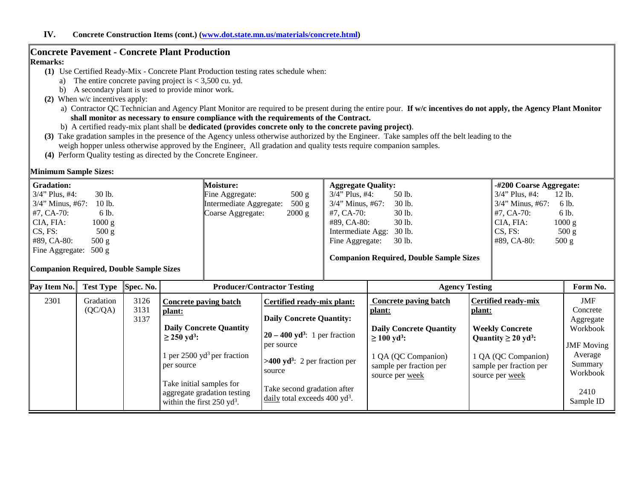### **Concrete Pavement - Concrete Plant Production**

#### **Remarks:**

- **(1)** Use Certified Ready-Mix Concrete Plant Production testing rates schedule when:
	- a) The entire concrete paving project is  $< 3,500$  cu. yd.
	- b) A secondary plant is used to provide minor work.
- **(2)** When w/c incentives apply:
	- a) Contractor QC Technician and Agency Plant Monitor are required to be present during the entire pour. **If w/c incentives do not apply, the Agency Plant Monitor shall monitor as necessary to ensure compliance with the requirements of the Contract.**
	- b) A certified ready-mix plant shall be **dedicated (provides concrete only to the concrete paving project)**.
- **(3)** Take gradation samples in the presence of the Agency unless otherwise authorized by the Engineer. Take samples off the belt leading to the weigh hopper unless otherwise approved by the Engineer. All gradation and quality tests require companion samples.
- **(4)** Perform Quality testing as directed by the Concrete Engineer.

#### **Minimum Sample Sizes:**

| <b>Gradation:</b>                       | <b>Moisture:</b>        | <b>Aggregate Quality:</b>                      | -#200 Coarse Aggregate: |
|-----------------------------------------|-------------------------|------------------------------------------------|-------------------------|
| $3/4$ " Plus, #4:                       | 500 g                   | $3/4$ " Plus, #4:                              | $3/4$ " Plus, #4:       |
| 30 lb.                                  | Fine Aggregate:         | 50 lb.                                         | $12$ lb.                |
| $3/4$ " Minus, #67:                     | 500 g                   | 30 lb.                                         | $3/4$ " Minus, #67:     |
| $10$ lb.                                | Intermediate Aggregate: | $3/4$ " Minus, #67:                            | 6 lb.                   |
| $#7, CA-70:$                            | $2000 \text{ g}$        | 30 lb.                                         | $#7, CA-70:$            |
| 6 lb.                                   | Coarse Aggregate:       | #7, CA-70:                                     | 6 lb.                   |
| CIA, FIA:                               |                         | 30 lb.                                         | 1000 g                  |
| 1000 g                                  |                         | #89, CA-80:                                    | CIA, FIA:               |
| $CS, FS$ :                              |                         | 30 lb.                                         | CS, FS:                 |
| 500 g                                   |                         | Intermediate Agg:                              | 500 g                   |
| 500 g                                   |                         | 30 lb.                                         | $#89$ , CA-80:          |
| $#89$ , CA-80:                          |                         | Fine Aggregate:                                | 500 g                   |
| Fine Aggregate: 500 g                   |                         |                                                |                         |
|                                         |                         | <b>Companion Required, Double Sample Sizes</b> |                         |
| Companion Required, Double Sample Sizes |                         |                                                |                         |
|                                         |                         |                                                |                         |

| Pay Item No. | <b>Test Type</b> | Spec. No. |                                                                                                  | <b>Producer/Contractor Testing</b>                                       | <b>Agency Testing</b>                                             |                                                                   | Form No.                       |
|--------------|------------------|-----------|--------------------------------------------------------------------------------------------------|--------------------------------------------------------------------------|-------------------------------------------------------------------|-------------------------------------------------------------------|--------------------------------|
| 2301         | Gradation        | 3126      | Concrete paving batch                                                                            | Certified ready-mix plant:                                               | Concrete paving batch                                             | <b>Certified ready-mix</b>                                        | JMF                            |
|              | (QC/QA)          | 3131      | plant:                                                                                           |                                                                          | plant:                                                            | plant:                                                            | Concrete                       |
|              |                  | 3137      |                                                                                                  | <b>Daily Concrete Quantity:</b>                                          |                                                                   |                                                                   | Aggregate                      |
|              |                  |           | <b>Daily Concrete Quantity</b>                                                                   | $20 - 400$ yd <sup>3</sup> : 1 per fraction                              | <b>Daily Concrete Quantity</b>                                    | <b>Weekly Concrete</b>                                            | Workbook                       |
|              |                  |           | $\geq$ 250 yd <sup>3</sup> :                                                                     | per source                                                               | $\geq 100 \text{ yd}^3$ :                                         | Quantity $\geq 20$ yd <sup>3</sup> :                              | <b>JMF</b> Moving              |
|              |                  |           | 1 per $2500 \text{ yd}^3$ per fraction<br>per source                                             | $>400 \text{ yd}^3$ : 2 per fraction per<br>source                       | 1 QA (QC Companion)<br>sample per fraction per<br>source per week | 1 QA (QC Companion)<br>sample per fraction per<br>source per week | Average<br>Summary<br>Workbook |
|              |                  |           | Take initial samples for<br>aggregate gradation testing<br>within the first $250 \text{ yd}^3$ . | Take second gradation after<br>daily total exceeds 400 yd <sup>3</sup> . |                                                                   |                                                                   | 2410<br>Sample ID              |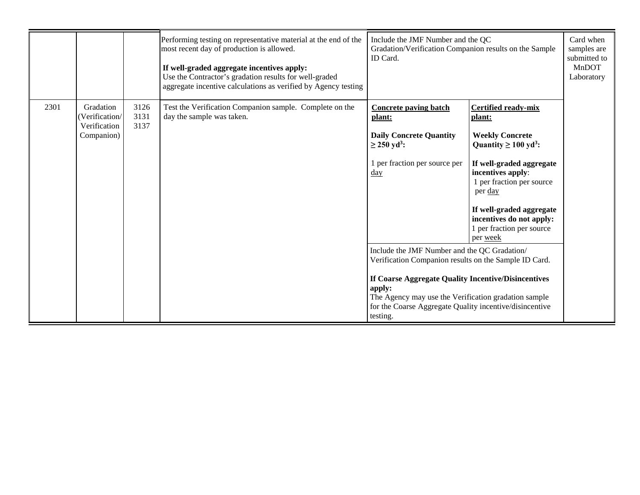|      |                                                          |                      | Performing testing on representative material at the end of the<br>most recent day of production is allowed.<br>If well-graded aggregate incentives apply:<br>Use the Contractor's gradation results for well-graded<br>aggregate incentive calculations as verified by Agency testing | Include the JMF Number and the QC<br>Gradation/Verification Companion results on the Sample<br>ID Card.                                                                                                                                                                                               |                                                                                                                                                                                                                                                                                                       | Card when<br>samples are<br>submitted to<br><b>MnDOT</b><br>Laboratory |
|------|----------------------------------------------------------|----------------------|----------------------------------------------------------------------------------------------------------------------------------------------------------------------------------------------------------------------------------------------------------------------------------------|-------------------------------------------------------------------------------------------------------------------------------------------------------------------------------------------------------------------------------------------------------------------------------------------------------|-------------------------------------------------------------------------------------------------------------------------------------------------------------------------------------------------------------------------------------------------------------------------------------------------------|------------------------------------------------------------------------|
| 2301 | Gradation<br>Verification/<br>Verification<br>Companion) | 3126<br>3131<br>3137 | Test the Verification Companion sample. Complete on the<br>day the sample was taken.                                                                                                                                                                                                   | <b>Concrete paving batch</b><br>plant:<br><b>Daily Concrete Quantity</b><br>$\geq$ 250 yd <sup>3</sup> :<br>1 per fraction per source per<br>$\frac{day}{\sqrt{2}}$                                                                                                                                   | <b>Certified ready-mix</b><br>plant:<br><b>Weekly Concrete</b><br>Quantity $\geq 100 \text{ yd}^3$ :<br>If well-graded aggregate<br>incentives apply:<br>1 per fraction per source<br>per day<br>If well-graded aggregate<br>incentives do not apply:<br>1 per fraction per source<br>per <u>week</u> |                                                                        |
|      |                                                          |                      |                                                                                                                                                                                                                                                                                        | Include the JMF Number and the QC Gradation/<br>Verification Companion results on the Sample ID Card.<br>If Coarse Aggregate Quality Incentive/Disincentives<br>apply:<br>The Agency may use the Verification gradation sample<br>for the Coarse Aggregate Quality incentive/disincentive<br>testing. |                                                                                                                                                                                                                                                                                                       |                                                                        |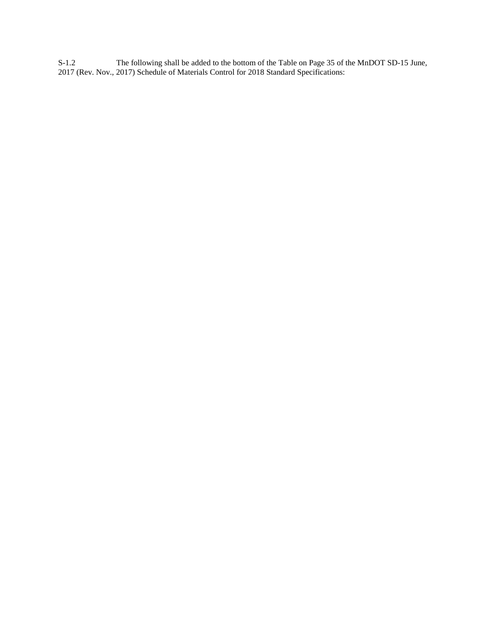S-1.2 The following shall be added to the bottom of the Table on Page 35 of the MnDOT SD-15 June, 2017 (Rev. Nov., 2017) Schedule of Materials Control for 2018 Standard Specifications: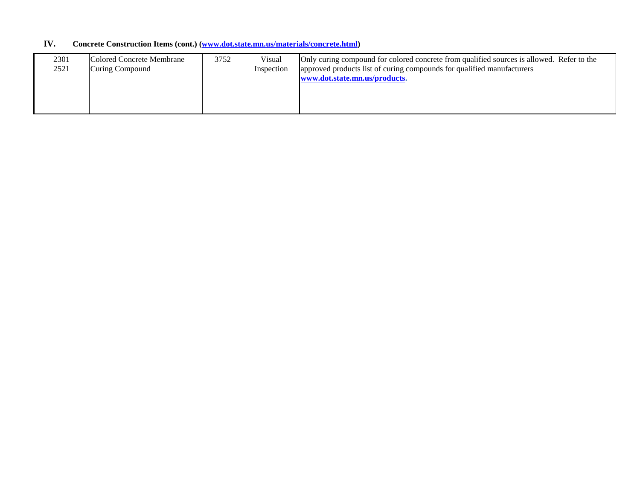## **IV. Concrete Construction Items (cont.) [\(www.dot.state.mn.us/materials/concrete.html\)](http://www.dot.state.mn.us/materials/concrete.html)**

| 2301 | Colored Concrete Membrane | 3752 | Visual     | Only curing compound for colored concrete from qualified sources is allowed. Refer to the |
|------|---------------------------|------|------------|-------------------------------------------------------------------------------------------|
| 2521 | Curing Compound           |      | Inspection | approved products list of curing compounds for qualified manufacturers                    |
|      |                           |      |            | www.dot.state.mn.us/products.                                                             |
|      |                           |      |            |                                                                                           |
|      |                           |      |            |                                                                                           |
|      |                           |      |            |                                                                                           |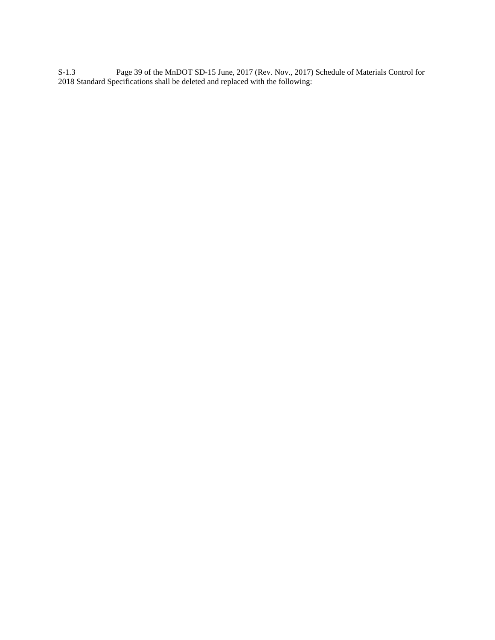S-1.3 Page 39 of the MnDOT SD-15 June, 2017 (Rev. Nov., 2017) Schedule of Materials Control for 2018 Standard Specifications shall be deleted and replaced with the following: